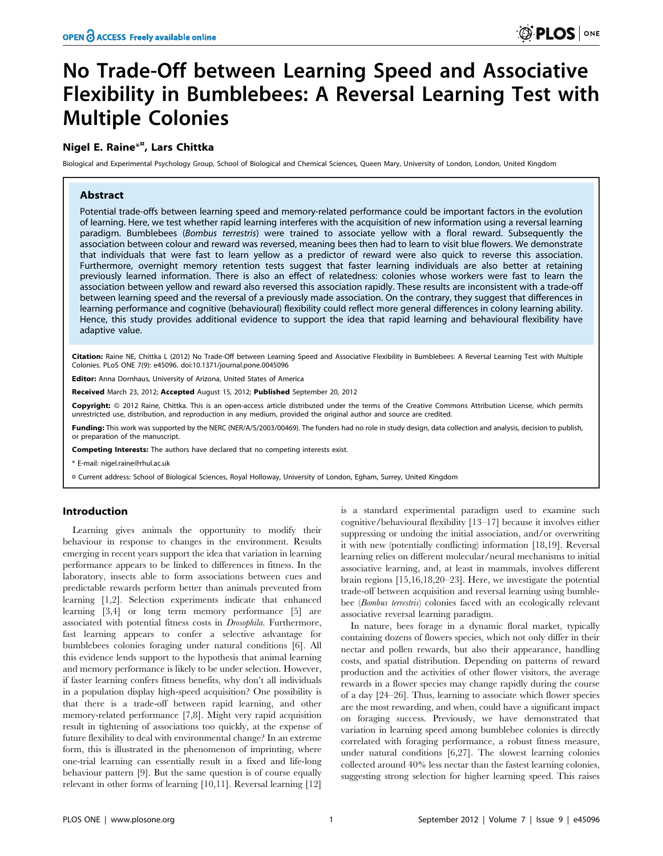# No Trade-Off between Learning Speed and Associative Flexibility in Bumblebees: A Reversal Learning Test with Multiple Colonies

# Nigel E. Raine<sup>\*¤</sup>, Lars Chittka

Biological and Experimental Psychology Group, School of Biological and Chemical Sciences, Queen Mary, University of London, London, United Kingdom

# Abstract

Potential trade-offs between learning speed and memory-related performance could be important factors in the evolution of learning. Here, we test whether rapid learning interferes with the acquisition of new information using a reversal learning paradigm. Bumblebees (Bombus terrestris) were trained to associate yellow with a floral reward. Subsequently the association between colour and reward was reversed, meaning bees then had to learn to visit blue flowers. We demonstrate that individuals that were fast to learn yellow as a predictor of reward were also quick to reverse this association. Furthermore, overnight memory retention tests suggest that faster learning individuals are also better at retaining previously learned information. There is also an effect of relatedness: colonies whose workers were fast to learn the association between yellow and reward also reversed this association rapidly. These results are inconsistent with a trade-off between learning speed and the reversal of a previously made association. On the contrary, they suggest that differences in learning performance and cognitive (behavioural) flexibility could reflect more general differences in colony learning ability. Hence, this study provides additional evidence to support the idea that rapid learning and behavioural flexibility have adaptive value.

Citation: Raine NE, Chittka L (2012) No Trade-Off between Learning Speed and Associative Flexibility in Bumblebees: A Reversal Learning Test with Multiple Colonies. PLoS ONE 7(9): e45096. doi:10.1371/journal.pone.0045096

Editor: Anna Dornhaus, University of Arizona, United States of America

Received March 23, 2012; Accepted August 15, 2012; Published September 20, 2012

Copyright: © 2012 Raine, Chittka. This is an open-access article distributed under the terms of the Creative Commons Attribution License, which permits unrestricted use, distribution, and reproduction in any medium, provided the original author and source are credited.

Funding: This work was supported by the NERC (NER/A/S/2003/00469). The funders had no role in study design, data collection and analysis, decision to publish, or preparation of the manuscript.

Competing Interests: The authors have declared that no competing interests exist.

\* E-mail: nigel.raine@rhul.ac.uk

¤ Current address: School of Biological Sciences, Royal Holloway, University of London, Egham, Surrey, United Kingdom

#### Introduction

Learning gives animals the opportunity to modify their behaviour in response to changes in the environment. Results emerging in recent years support the idea that variation in learning performance appears to be linked to differences in fitness. In the laboratory, insects able to form associations between cues and predictable rewards perform better than animals prevented from learning [1,2]. Selection experiments indicate that enhanced learning [3,4] or long term memory performance [5] are associated with potential fitness costs in Drosophila. Furthermore, fast learning appears to confer a selective advantage for bumblebees colonies foraging under natural conditions [6]. All this evidence lends support to the hypothesis that animal learning and memory performance is likely to be under selection. However, if faster learning confers fitness benefits, why don't all individuals in a population display high-speed acquisition? One possibility is that there is a trade-off between rapid learning, and other memory-related performance [7,8]. Might very rapid acquisition result in tightening of associations too quickly, at the expense of future flexibility to deal with environmental change? In an extreme form, this is illustrated in the phenomenon of imprinting, where one-trial learning can essentially result in a fixed and life-long behaviour pattern [9]. But the same question is of course equally relevant in other forms of learning [10,11]. Reversal learning [12]

is a standard experimental paradigm used to examine such cognitive/behavioural flexibility [13–17] because it involves either suppressing or undoing the initial association, and/or overwriting it with new (potentially conflicting) information [18,19]. Reversal learning relies on different molecular/neural mechanisms to initial associative learning, and, at least in mammals, involves different brain regions [15,16,18,20–23]. Here, we investigate the potential trade-off between acquisition and reversal learning using bumblebee (Bombus terrestris) colonies faced with an ecologically relevant associative reversal learning paradigm.

In nature, bees forage in a dynamic floral market, typically containing dozens of flowers species, which not only differ in their nectar and pollen rewards, but also their appearance, handling costs, and spatial distribution. Depending on patterns of reward production and the activities of other flower visitors, the average rewards in a flower species may change rapidly during the course of a day [24–26]. Thus, learning to associate which flower species are the most rewarding, and when, could have a significant impact on foraging success. Previously, we have demonstrated that variation in learning speed among bumblebee colonies is directly correlated with foraging performance, a robust fitness measure, under natural conditions [6,27]. The slowest learning colonies collected around 40% less nectar than the fastest learning colonies, suggesting strong selection for higher learning speed. This raises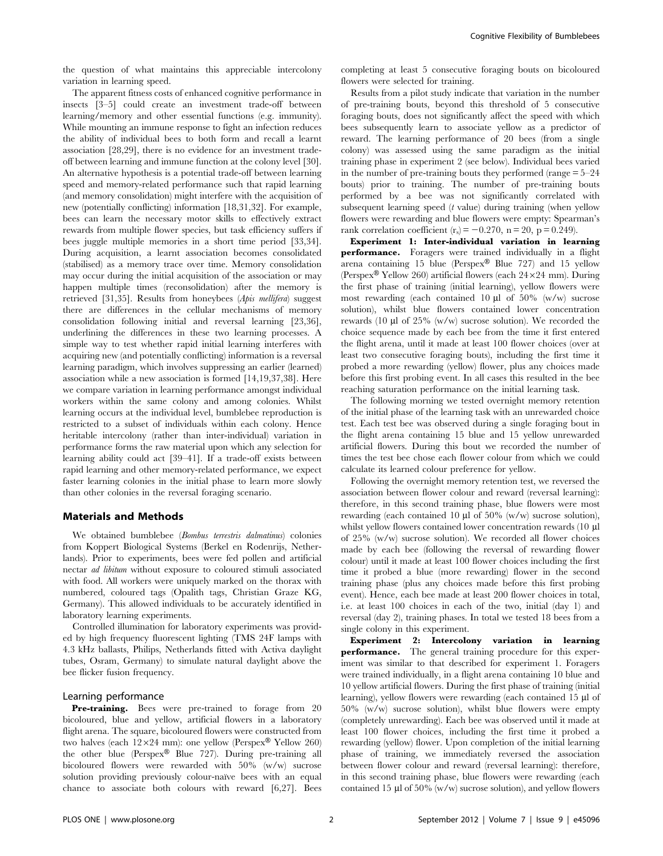the question of what maintains this appreciable intercolony variation in learning speed.

The apparent fitness costs of enhanced cognitive performance in insects [3–5] could create an investment trade-off between learning/memory and other essential functions (e.g. immunity). While mounting an immune response to fight an infection reduces the ability of individual bees to both form and recall a learnt association [28,29], there is no evidence for an investment tradeoff between learning and immune function at the colony level [30]. An alternative hypothesis is a potential trade-off between learning speed and memory-related performance such that rapid learning (and memory consolidation) might interfere with the acquisition of new (potentially conflicting) information [18,31,32]. For example, bees can learn the necessary motor skills to effectively extract rewards from multiple flower species, but task efficiency suffers if bees juggle multiple memories in a short time period [33,34]. During acquisition, a learnt association becomes consolidated (stabilised) as a memory trace over time. Memory consolidation may occur during the initial acquisition of the association or may happen multiple times (reconsolidation) after the memory is retrieved [31,35]. Results from honeybees (Apis mellifera) suggest there are differences in the cellular mechanisms of memory consolidation following initial and reversal learning [23,36], underlining the differences in these two learning processes. A simple way to test whether rapid initial learning interferes with acquiring new (and potentially conflicting) information is a reversal learning paradigm, which involves suppressing an earlier (learned) association while a new association is formed [14,19,37,38]. Here we compare variation in learning performance amongst individual workers within the same colony and among colonies. Whilst learning occurs at the individual level, bumblebee reproduction is restricted to a subset of individuals within each colony. Hence heritable intercolony (rather than inter-individual) variation in performance forms the raw material upon which any selection for learning ability could act [39–41]. If a trade-off exists between rapid learning and other memory-related performance, we expect faster learning colonies in the initial phase to learn more slowly than other colonies in the reversal foraging scenario.

#### Materials and Methods

We obtained bumblebee (Bombus terrestris dalmatinus) colonies from Koppert Biological Systems (Berkel en Rodenrijs, Netherlands). Prior to experiments, bees were fed pollen and artificial nectar ad libitum without exposure to coloured stimuli associated with food. All workers were uniquely marked on the thorax with numbered, coloured tags (Opalith tags, Christian Graze KG, Germany). This allowed individuals to be accurately identified in laboratory learning experiments.

Controlled illumination for laboratory experiments was provided by high frequency fluorescent lighting (TMS 24F lamps with 4.3 kHz ballasts, Philips, Netherlands fitted with Activa daylight tubes, Osram, Germany) to simulate natural daylight above the bee flicker fusion frequency.

## Learning performance

Pre-training. Bees were pre-trained to forage from 20 bicoloured, blue and yellow, artificial flowers in a laboratory flight arena. The square, bicoloured flowers were constructed from two halves (each  $12\times24$  mm): one yellow (Perspex® Yellow 260) the other blue ( $Perspex^@$  Blue 727). During pre-training all bicoloured flowers were rewarded with 50% (w/w) sucrose solution providing previously colour-naïve bees with an equal chance to associate both colours with reward [6,27]. Bees

completing at least 5 consecutive foraging bouts on bicoloured flowers were selected for training.

Results from a pilot study indicate that variation in the number of pre-training bouts, beyond this threshold of 5 consecutive foraging bouts, does not significantly affect the speed with which bees subsequently learn to associate yellow as a predictor of reward. The learning performance of 20 bees (from a single colony) was assessed using the same paradigm as the initial training phase in experiment 2 (see below). Individual bees varied in the number of pre-training bouts they performed (range  $= 5-24$ ) bouts) prior to training. The number of pre-training bouts performed by a bee was not significantly correlated with subsequent learning speed (*t* value) during training (when yellow flowers were rewarding and blue flowers were empty: Spearman's rank correlation coefficient  $(r_s) = -0.270$ , n = 20, p = 0.249).

Experiment 1: Inter-individual variation in learning performance. Foragers were trained individually in a flight arena containing 15 blue ( $Perspex^@$  Blue 727) and 15 yellow (Perspex<sup>®</sup> Yellow 260) artificial flowers (each  $24\times24$  mm). During the first phase of training (initial learning), yellow flowers were most rewarding (each contained 10  $\mu$ l of 50% (w/w) sucrose solution), whilst blue flowers contained lower concentration rewards (10  $\mu$ l of 25% (w/w) sucrose solution). We recorded the choice sequence made by each bee from the time it first entered the flight arena, until it made at least 100 flower choices (over at least two consecutive foraging bouts), including the first time it probed a more rewarding (yellow) flower, plus any choices made before this first probing event. In all cases this resulted in the bee reaching saturation performance on the initial learning task.

The following morning we tested overnight memory retention of the initial phase of the learning task with an unrewarded choice test. Each test bee was observed during a single foraging bout in the flight arena containing 15 blue and 15 yellow unrewarded artificial flowers. During this bout we recorded the number of times the test bee chose each flower colour from which we could calculate its learned colour preference for yellow.

Following the overnight memory retention test, we reversed the association between flower colour and reward (reversal learning): therefore, in this second training phase, blue flowers were most rewarding (each contained 10  $\mu$ l of 50% (w/w) sucrose solution), whilst yellow flowers contained lower concentration rewards (10  $\mu$ l of 25% (w/w) sucrose solution). We recorded all flower choices made by each bee (following the reversal of rewarding flower colour) until it made at least 100 flower choices including the first time it probed a blue (more rewarding) flower in the second training phase (plus any choices made before this first probing event). Hence, each bee made at least 200 flower choices in total, i.e. at least 100 choices in each of the two, initial (day 1) and reversal (day 2), training phases. In total we tested 18 bees from a single colony in this experiment.

Experiment 2: Intercolony variation in learning performance. The general training procedure for this experiment was similar to that described for experiment 1. Foragers were trained individually, in a flight arena containing 10 blue and 10 yellow artificial flowers. During the first phase of training (initial learning), yellow flowers were rewarding (each contained 15  $\mu$ l of 50% (w/w) sucrose solution), whilst blue flowers were empty (completely unrewarding). Each bee was observed until it made at least 100 flower choices, including the first time it probed a rewarding (yellow) flower. Upon completion of the initial learning phase of training, we immediately reversed the association between flower colour and reward (reversal learning): therefore, in this second training phase, blue flowers were rewarding (each contained 15  $\mu$ l of 50% (w/w) sucrose solution), and yellow flowers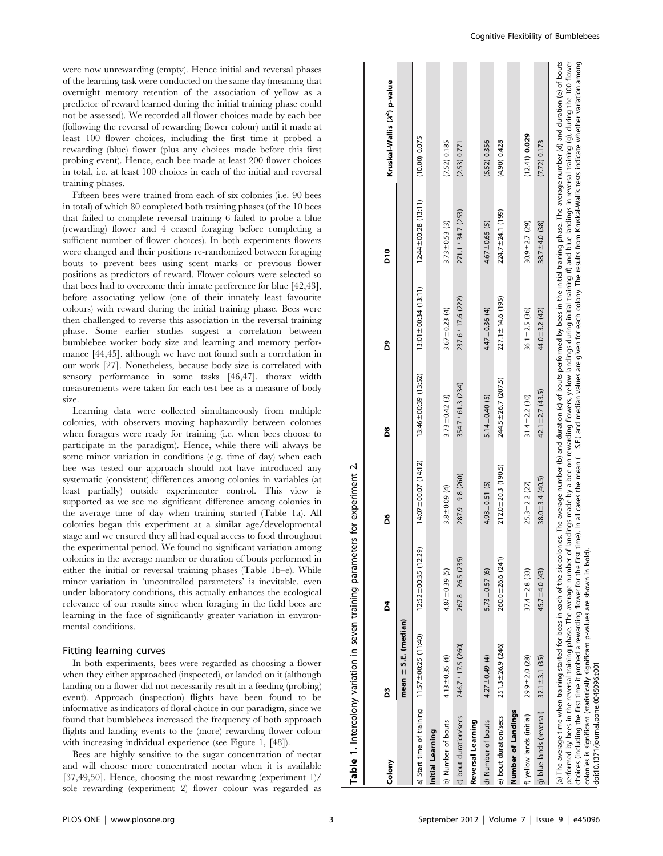were now unrewarding (empty). Hence initial and reversal phases of the learning task were conducted on the same day (meaning that overnight memory retention of the association of yellow as a predictor of reward learned during the initial training phase could not be assessed). We recorded all flower choices made by each bee (following the reversal of rewarding flower colour) until it made at least 100 flower choices, including the first time it probed a rewarding (blue) flower (plus any choices made before this first probing event). Hence, each bee made at least 200 flower choices in total, i.e. at least 100 choices in each of the initial and reversal training phases.

Fifteen bees were trained from each of six colonies (i.e. 90 bees in total) of which 80 completed both training phases (of the 10 bees that failed to complete reversal training 6 failed to probe a blue (rewarding) flower and 4 ceased foraging before completing a sufficient number of flower choices). In both experiments flowers were changed and their positions re-randomized between foraging bouts to prevent bees using scent marks or previous flower positions as predictors of reward. Flower colours were selected so that bees had to overcome their innate preference for blue [42,43], before associating yellow (one of their innately least favourite colours) with reward during the initial training phase. Bees were then challenged to reverse this association in the reversal training phase. Some earlier studies suggest a correlation between bumblebee worker body size and learning and memory performance [44,45], although we have not found such a correlation in our work [27]. Nonetheless, because body size is correlated with sensory performance in some tasks [46,47], thorax width measurements were taken for each test bee as a measure of body size.

Learning data were collected simultaneously from multiple colonies, with observers moving haphazardly between colonies when foragers were ready for training (i.e. when bees choose to participate in the paradigm). Hence, while there will always be some minor variation in conditions (e.g. time of day) when each bee was tested our approach should not have introduced any systematic (consistent) differences among colonies in variables (at least partially) outside experimenter control. This view is supported as we see no significant difference among colonies in the average time of day when training started (Table 1a). All colonies began this experiment at a similar age/developmental stage and we ensured they all had equal access to food throughout the experimental period. We found no significant variation among colonies in the average number or duration of bouts performed in either the initial or reversal training phases (Table 1b–e). While minor variation in 'uncontrolled parameters' is inevitable, even under laboratory conditions, this actually enhances the ecological relevance of our results since when foraging in the field bees are learning in the face of significantly greater variation in environmental conditions.

# Fitting learning curves

In both experiments, bees were regarded as choosing a flower when they either approached (inspected), or landed on it (although landing on a flower did not necessarily result in a feeding (probing) event). Approach (inspection) flights have been found to be informative as indicators of floral choice in our paradigm, since we found that bumblebees increased the frequency of both approach flights and landing events to the (more) rewarding flower colour with increasing individual experience (see Figure 1, [48]).

Bees are highly sensitive to the sugar concentration of nectar and will choose more concentrated nectar when it is available [37,49,50]. Hence, choosing the most rewarding (experiment 1)/ sole rewarding (experiment 2) flower colour was regarded as

|                                       |                                                                                 | Table 1. Intercolony variation in seven training parameters for experiment 2. |                             |                           |                           |                           |                                                                                                                                                                                                                                                                                                                                                                                                                                                                                                                                                                                                                                                                                 |
|---------------------------------------|---------------------------------------------------------------------------------|-------------------------------------------------------------------------------|-----------------------------|---------------------------|---------------------------|---------------------------|---------------------------------------------------------------------------------------------------------------------------------------------------------------------------------------------------------------------------------------------------------------------------------------------------------------------------------------------------------------------------------------------------------------------------------------------------------------------------------------------------------------------------------------------------------------------------------------------------------------------------------------------------------------------------------|
|                                       |                                                                                 |                                                                               |                             |                           |                           |                           |                                                                                                                                                                                                                                                                                                                                                                                                                                                                                                                                                                                                                                                                                 |
| Colony                                | 2                                                                               | Ž,                                                                            | å                           | 8                         | ဦ                         | <b>D10</b>                | Kruskal-Wallis (X <sup>2</sup> ) p-value                                                                                                                                                                                                                                                                                                                                                                                                                                                                                                                                                                                                                                        |
|                                       | mean $\pm$ S.E. (median)                                                        |                                                                               |                             |                           |                           |                           |                                                                                                                                                                                                                                                                                                                                                                                                                                                                                                                                                                                                                                                                                 |
| a) Start time of training             | $11:57 \pm 00:25(11:40)$                                                        | $12:52 \pm 00:35(12:29)$                                                      | $14.07 \pm 00.07$ $(14.12)$ | $13.46 \pm 00.39$ (13.52) | $13:01 \pm 00:34$ (13:11) | $12:44 \pm 00:28$ (13:11) | (10.00) 0.075                                                                                                                                                                                                                                                                                                                                                                                                                                                                                                                                                                                                                                                                   |
| Initial Learning                      |                                                                                 |                                                                               |                             |                           |                           |                           |                                                                                                                                                                                                                                                                                                                                                                                                                                                                                                                                                                                                                                                                                 |
| b) Number of bouts                    | $4.13 \pm 0.35$ (4)                                                             | $4.87 \pm 0.39$ (5)                                                           | $3.8 \pm 0.09$ (4)          | $3.73 \pm 0.42$ (3)       | $3.67 \pm 0.23$ (4)       | $3.73 \pm 0.53$ (3)       | $(7.52)$ 0.185                                                                                                                                                                                                                                                                                                                                                                                                                                                                                                                                                                                                                                                                  |
| c) bout duration/secs                 | 246.7 ± 17.5 (260)                                                              | $267.8 \pm 26.5$ (235)                                                        | 287.9 ± 9.8 (260)           | $354.7 \pm 61.3$ (234)    | 237.6±17.6 (222)          | $271.1 \pm 34.7$ (253)    | (2.53) 0.771                                                                                                                                                                                                                                                                                                                                                                                                                                                                                                                                                                                                                                                                    |
| Reversal Learning                     |                                                                                 |                                                                               |                             |                           |                           |                           |                                                                                                                                                                                                                                                                                                                                                                                                                                                                                                                                                                                                                                                                                 |
| d) Number of bouts                    | $4.27 \pm 0.49$ (4)                                                             | $5.73 \pm 0.57$ (6)                                                           | $4.93 \pm 0.51$ (5)         | 5.14 $\pm$ 0.40 (5)       | $4.47 \pm 0.36$ (4)       | $4.67 \pm 0.65$ (5)       | (5.52) 0.356                                                                                                                                                                                                                                                                                                                                                                                                                                                                                                                                                                                                                                                                    |
| e) bout duration/secs                 | $251.3 \pm 26.9$ (246)                                                          | 260.0 ± 26.6 (241)                                                            | $212.0 \pm 20.3$ (190.5)    | 244.5 ± 26.7 (207.5)      | $227.1 \pm 14.6$ (195)    | $224.7 \pm 24.1$ (199)    | (4.90) 0.428                                                                                                                                                                                                                                                                                                                                                                                                                                                                                                                                                                                                                                                                    |
| Number of Landings                    |                                                                                 |                                                                               |                             |                           |                           |                           |                                                                                                                                                                                                                                                                                                                                                                                                                                                                                                                                                                                                                                                                                 |
| f) yellow lands (initial)             | $29.9 + 2.0(28)$                                                                | $37.4 \pm 2.8$ (33)                                                           | $25.3 \pm 2.2$ (27)         | $31.4 \pm 2.2$ (30)       | $36.1 \pm 2.5$ (36)       | $30.9 + 2.7(29)$          | $(12.41)$ 0.029                                                                                                                                                                                                                                                                                                                                                                                                                                                                                                                                                                                                                                                                 |
| g) blue lands (reversal)              | $32.1 \pm 3.1$ (35)                                                             | 45.7 $\pm$ 4.0 (43)                                                           | $38.0 \pm 3.4$ (40.5)       | $42.1 \pm 2.7$ (43.5)     | 44.0 $\pm$ 3.2 (42)       | $38.7 \pm 4.0$ (38)       | (7.72) 0.173                                                                                                                                                                                                                                                                                                                                                                                                                                                                                                                                                                                                                                                                    |
| doi:10.1371/journal.pone.0045096.t001 | colonies is significant (statistically significant p-values are shown in bold). |                                                                               |                             |                           |                           |                           | (a) The average time when training started for bees in each of the six colonies. The average number (b) and duration (c) of bouts performed by bees in the initial training phase. The average number (d) and duration (e) of<br>choices (including the first time it probed a rewarding flower for the first time). In all cases the mean ( $\pm$ S.E.) and median values are given for each colony. The results from Kruskal-Wallis tests indicate whether vari<br>performed by bees in the reversal training phase. The average number of lander of landings newarding flowers, yellow landings during (i) and blue landings in reversal training (g), during the 100 flower |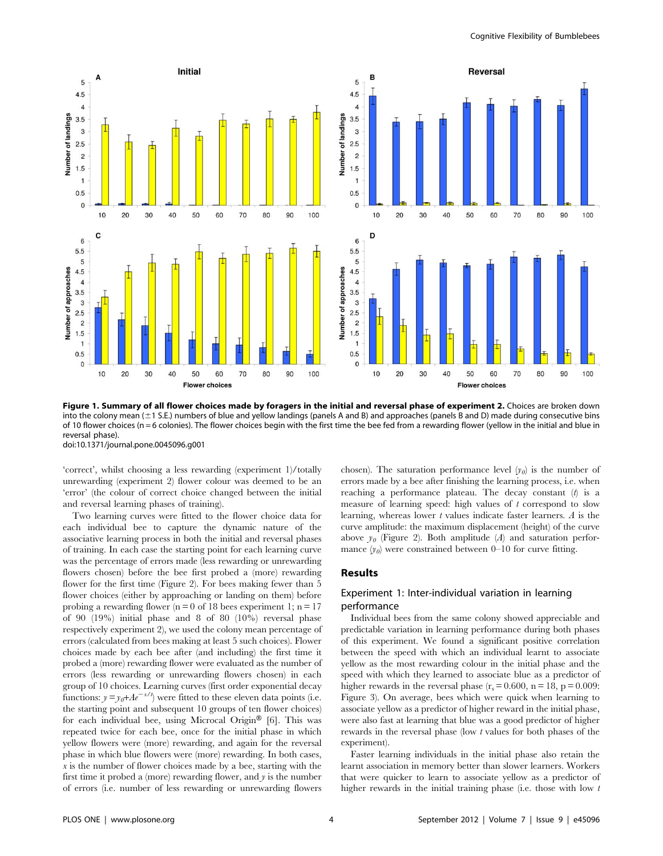

Figure 1. Summary of all flower choices made by foragers in the initial and reversal phase of experiment 2. Choices are broken down into the colony mean (±1 S.E.) numbers of blue and yellow landings (panels A and B) and approaches (panels B and D) made during consecutive bins of 10 flower choices (n = 6 colonies). The flower choices begin with the first time the bee fed from a rewarding flower (yellow in the initial and blue in reversal phase).

doi:10.1371/journal.pone.0045096.g001

'correct', whilst choosing a less rewarding (experiment 1)/totally unrewarding (experiment 2) flower colour was deemed to be an 'error' (the colour of correct choice changed between the initial and reversal learning phases of training).

Two learning curves were fitted to the flower choice data for each individual bee to capture the dynamic nature of the associative learning process in both the initial and reversal phases of training. In each case the starting point for each learning curve was the percentage of errors made (less rewarding or unrewarding flowers chosen) before the bee first probed a (more) rewarding flower for the first time (Figure 2). For bees making fewer than 5 flower choices (either by approaching or landing on them) before probing a rewarding flower ( $n = 0$  of 18 bees experiment 1;  $n = 17$ of 90 (19%) initial phase and 8 of 80 (10%) reversal phase respectively experiment 2), we used the colony mean percentage of errors (calculated from bees making at least 5 such choices). Flower choices made by each bee after (and including) the first time it probed a (more) rewarding flower were evaluated as the number of errors (less rewarding or unrewarding flowers chosen) in each group of 10 choices. Learning curves (first order exponential decay functions:  $y = y_0 + Ae^{-x/t}$  were fitted to these eleven data points (i.e. the starting point and subsequent 10 groups of ten flower choices) for each individual bee, using Microcal Origin® [6]. This was repeated twice for each bee, once for the initial phase in which yellow flowers were (more) rewarding, and again for the reversal phase in which blue flowers were (more) rewarding. In both cases,  $x$  is the number of flower choices made by a bee, starting with the first time it probed a (more) rewarding flower, and  $y$  is the number of errors (i.e. number of less rewarding or unrewarding flowers chosen). The saturation performance level  $(y_0)$  is the number of errors made by a bee after finishing the learning process, i.e. when reaching a performance plateau. The decay constant  $(t)$  is a measure of learning speed: high values of  $t$  correspond to slow learning, whereas lower t values indicate faster learners. A is the curve amplitude: the maximum displacement (height) of the curve above  $y_0$  (Figure 2). Both amplitude (A) and saturation performance  $(y_0)$  were constrained between 0–10 for curve fitting.

## Results

## Experiment 1: Inter-individual variation in learning performance

Individual bees from the same colony showed appreciable and predictable variation in learning performance during both phases of this experiment. We found a significant positive correlation between the speed with which an individual learnt to associate yellow as the most rewarding colour in the initial phase and the speed with which they learned to associate blue as a predictor of higher rewards in the reversal phase  $(r_s = 0.600, n = 18, p = 0.009$ : Figure 3). On average, bees which were quick when learning to associate yellow as a predictor of higher reward in the initial phase, were also fast at learning that blue was a good predictor of higher rewards in the reversal phase (low t values for both phases of the experiment).

Faster learning individuals in the initial phase also retain the learnt association in memory better than slower learners. Workers that were quicker to learn to associate yellow as a predictor of higher rewards in the initial training phase (i.e. those with low t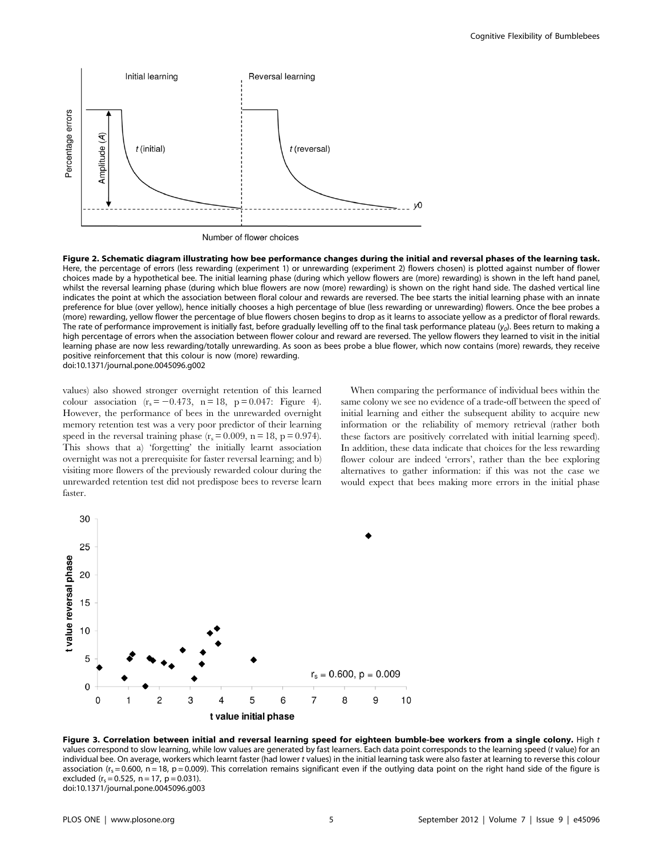

Number of flower choices

Figure 2. Schematic diagram illustrating how bee performance changes during the initial and reversal phases of the learning task. Here, the percentage of errors (less rewarding (experiment 1) or unrewarding (experiment 2) flowers chosen) is plotted against number of flower choices made by a hypothetical bee. The initial learning phase (during which yellow flowers are (more) rewarding) is shown in the left hand panel, whilst the reversal learning phase (during which blue flowers are now (more) rewarding) is shown on the right hand side. The dashed vertical line indicates the point at which the association between floral colour and rewards are reversed. The bee starts the initial learning phase with an innate preference for blue (over yellow), hence initially chooses a high percentage of blue (less rewarding or unrewarding) flowers. Once the bee probes a (more) rewarding, yellow flower the percentage of blue flowers chosen begins to drop as it learns to associate yellow as a predictor of floral rewards. The rate of performance improvement is initially fast, before gradually levelling off to the final task performance plateau  $(y_0)$ . Bees return to making a high percentage of errors when the association between flower colour and reward are reversed. The yellow flowers they learned to visit in the initial learning phase are now less rewarding/totally unrewarding. As soon as bees probe a blue flower, which now contains (more) rewards, they receive positive reinforcement that this colour is now (more) rewarding. doi:10.1371/journal.pone.0045096.g002

values) also showed stronger overnight retention of this learned colour association  $(r_s = -0.473, n = 18, p = 0.047$ : Figure 4). However, the performance of bees in the unrewarded overnight memory retention test was a very poor predictor of their learning speed in the reversal training phase  $(r_s = 0.009, n = 18, p = 0.974)$ . This shows that a) 'forgetting' the initially learnt association overnight was not a prerequisite for faster reversal learning; and b) visiting more flowers of the previously rewarded colour during the unrewarded retention test did not predispose bees to reverse learn faster.

When comparing the performance of individual bees within the same colony we see no evidence of a trade-off between the speed of initial learning and either the subsequent ability to acquire new information or the reliability of memory retrieval (rather both these factors are positively correlated with initial learning speed). In addition, these data indicate that choices for the less rewarding flower colour are indeed 'errors', rather than the bee exploring alternatives to gather information: if this was not the case we would expect that bees making more errors in the initial phase



Figure 3. Correlation between initial and reversal learning speed for eighteen bumble-bee workers from a single colony. High t values correspond to slow learning, while low values are generated by fast learners. Each data point corresponds to the learning speed (t value) for an individual bee. On average, workers which learnt faster (had lower t values) in the initial learning task were also faster at learning to reverse this colour association ( $r_s$  = 0.600, n = 18, p = 0.009). This correlation remains significant even if the outlying data point on the right hand side of the figure is excluded ( $r_s = 0.525$ , n = 17, p = 0.031). doi:10.1371/journal.pone.0045096.g003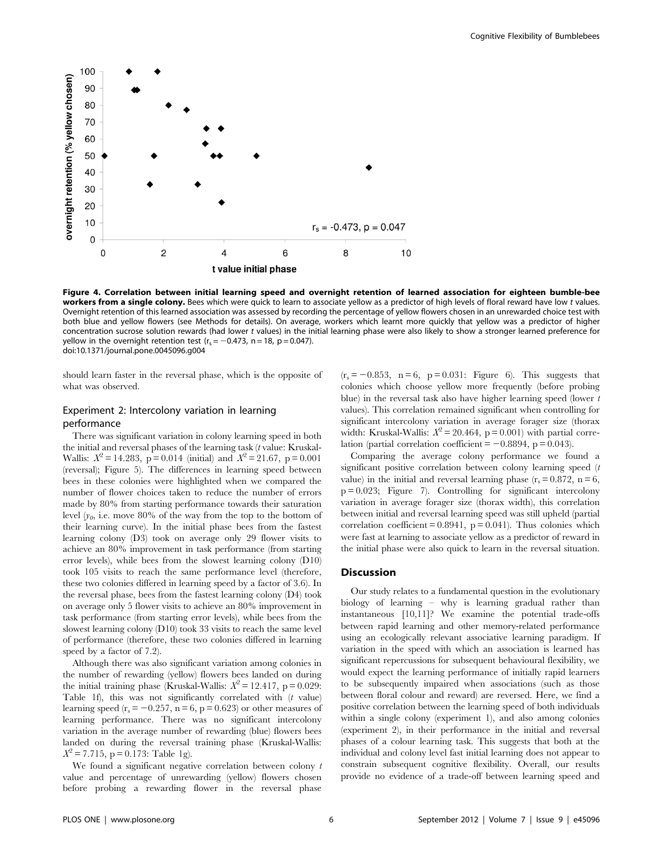

Figure 4. Correlation between initial learning speed and overnight retention of learned association for eighteen bumble-bee workers from a single colony. Bees which were quick to learn to associate yellow as a predictor of high levels of floral reward have low t values. Overnight retention of this learned association was assessed by recording the percentage of yellow flowers chosen in an unrewarded choice test with both blue and yellow flowers (see Methods for details). On average, workers which learnt more quickly that yellow was a predictor of higher concentration sucrose solution rewards (had lower t values) in the initial learning phase were also likely to show a stronger learned preference for yellow in the overnight retention test ( $r_s = -0.473$ , n = 18, p = 0.047). doi:10.1371/journal.pone.0045096.g004

should learn faster in the reversal phase, which is the opposite of what was observed.

## Experiment 2: Intercolony variation in learning performance

There was significant variation in colony learning speed in both the initial and reversal phases of the learning task (t value: Kruskal-Wallis:  $X^2 = 14.283$ , p = 0.014 (initial) and  $X^2 = 21.67$ , p = 0.001 (reversal); Figure 5). The differences in learning speed between bees in these colonies were highlighted when we compared the number of flower choices taken to reduce the number of errors made by 80% from starting performance towards their saturation level  $(y_0, i.e.$  move 80% of the way from the top to the bottom of their learning curve). In the initial phase bees from the fastest learning colony (D3) took on average only 29 flower visits to achieve an 80% improvement in task performance (from starting error levels), while bees from the slowest learning colony (D10) took 105 visits to reach the same performance level (therefore, these two colonies differed in learning speed by a factor of 3.6). In the reversal phase, bees from the fastest learning colony (D4) took on average only 5 flower visits to achieve an 80% improvement in task performance (from starting error levels), while bees from the slowest learning colony (D10) took 33 visits to reach the same level of performance (therefore, these two colonies differed in learning speed by a factor of 7.2).

Although there was also significant variation among colonies in the number of rewarding (yellow) flowers bees landed on during the initial training phase (Kruskal-Wallis:  $X^2 = 12.417$ , p = 0.029: Table 1f), this was not significantly correlated with (t value) learning speed ( $r_s = -0.257$ , n = 6, p = 0.623) or other measures of learning performance. There was no significant intercolony variation in the average number of rewarding (blue) flowers bees landed on during the reversal training phase (Kruskal-Wallis:  $X^2 = 7.715$ , p = 0.173: Table 1g).

We found a significant negative correlation between colony  $t$ value and percentage of unrewarding (yellow) flowers chosen before probing a rewarding flower in the reversal phase

 $(r<sub>s</sub> = -0.853, n = 6, p = 0.031$ : Figure 6). This suggests that colonies which choose yellow more frequently (before probing blue) in the reversal task also have higher learning speed (lower t values). This correlation remained significant when controlling for significant intercolony variation in average forager size (thorax width: Kruskal-Wallis:  $X^2 = 20.464$ , p = 0.001) with partial correlation (partial correlation coefficient  $= -0.8894$ , p  $= 0.043$ ).

Comparing the average colony performance we found a significant positive correlation between colony learning speed (t value) in the initial and reversal learning phase  $(r_s = 0.872, n = 6,$  $p = 0.023$ ; Figure 7). Controlling for significant intercolony variation in average forager size (thorax width), this correlation between initial and reversal learning speed was still upheld (partial correlation coefficient =  $0.8941$ , p =  $0.041$ ). Thus colonies which were fast at learning to associate yellow as a predictor of reward in the initial phase were also quick to learn in the reversal situation.

#### **Discussion**

Our study relates to a fundamental question in the evolutionary biology of learning – why is learning gradual rather than instantaneous [10,11]? We examine the potential trade-offs between rapid learning and other memory-related performance using an ecologically relevant associative learning paradigm. If variation in the speed with which an association is learned has significant repercussions for subsequent behavioural flexibility, we would expect the learning performance of initially rapid learners to be subsequently impaired when associations (such as those between floral colour and reward) are reversed. Here, we find a positive correlation between the learning speed of both individuals within a single colony (experiment 1), and also among colonies (experiment 2), in their performance in the initial and reversal phases of a colour learning task. This suggests that both at the individual and colony level fast initial learning does not appear to constrain subsequent cognitive flexibility. Overall, our results provide no evidence of a trade-off between learning speed and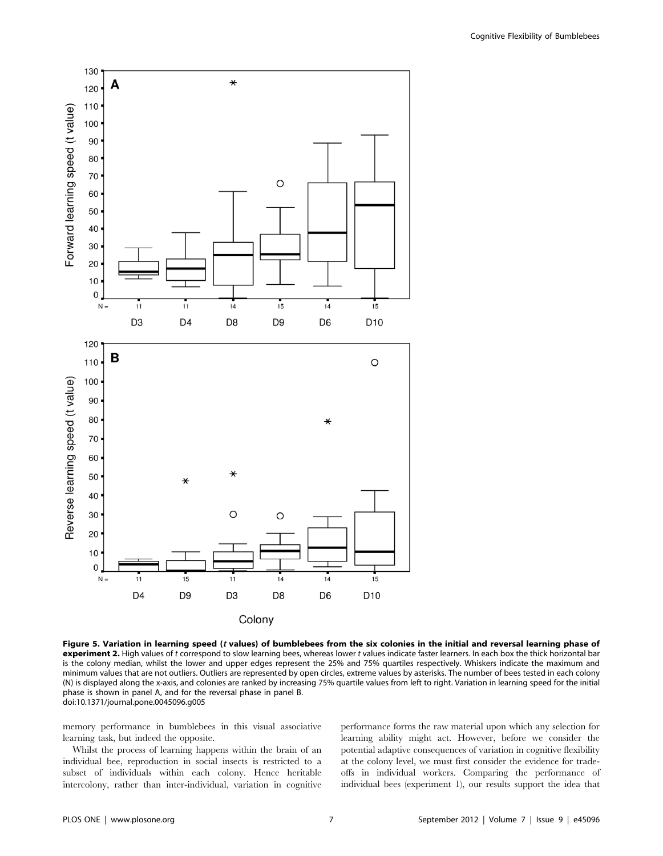

Figure 5. Variation in learning speed (<sup>t</sup> values) of bumblebees from the six colonies in the initial and reversal learning phase of experiment 2. High values of t correspond to slow learning bees, whereas lower t values indicate faster learners. In each box the thick horizontal bar is the colony median, whilst the lower and upper edges represent the 25% and 75% quartiles respectively. Whiskers indicate the maximum and minimum values that are not outliers. Outliers are represented by open circles, extreme values by asterisks. The number of bees tested in each colony (N) is displayed along the x-axis, and colonies are ranked by increasing 75% quartile values from left to right. Variation in learning speed for the initial phase is shown in panel A, and for the reversal phase in panel B. doi:10.1371/journal.pone.0045096.g005

memory performance in bumblebees in this visual associative learning task, but indeed the opposite.

Whilst the process of learning happens within the brain of an individual bee, reproduction in social insects is restricted to a subset of individuals within each colony. Hence heritable intercolony, rather than inter-individual, variation in cognitive

performance forms the raw material upon which any selection for learning ability might act. However, before we consider the potential adaptive consequences of variation in cognitive flexibility at the colony level, we must first consider the evidence for tradeoffs in individual workers. Comparing the performance of individual bees (experiment 1), our results support the idea that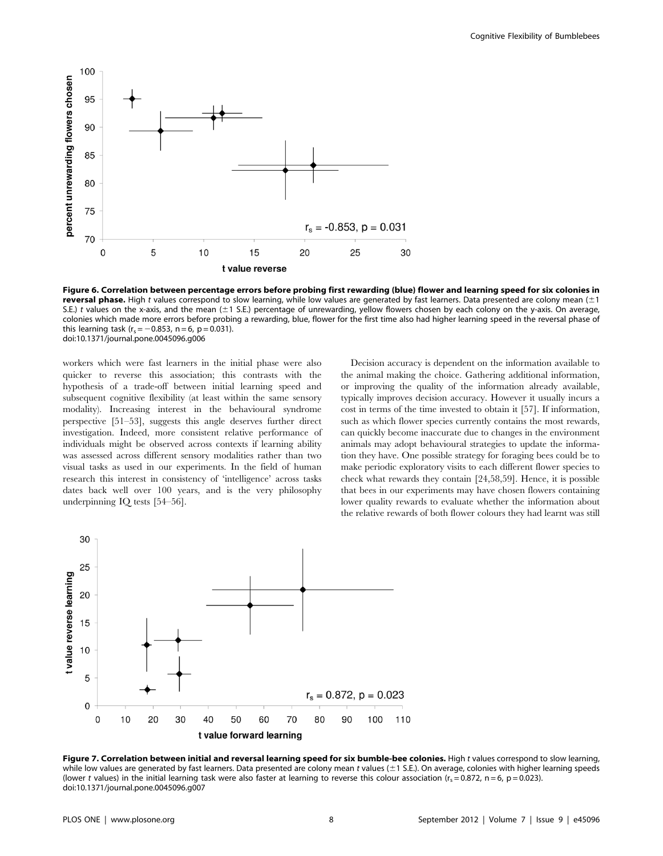

Figure 6. Correlation between percentage errors before probing first rewarding (blue) flower and learning speed for six colonies in reversal phase. High t values correspond to slow learning, while low values are generated by fast learners. Data presented are colony mean ( $\pm 1$ ) S.E.) t values on the x-axis, and the mean  $(\pm 1 \, S.E.)$  percentage of unrewarding, yellow flowers chosen by each colony on the y-axis. On average, colonies which made more errors before probing a rewarding, blue, flower for the first time also had higher learning speed in the reversal phase of this learning task  $(r_s = -0.853, n = 6, p = 0.031)$ . doi:10.1371/journal.pone.0045096.g006

workers which were fast learners in the initial phase were also quicker to reverse this association; this contrasts with the hypothesis of a trade-off between initial learning speed and subsequent cognitive flexibility (at least within the same sensory modality). Increasing interest in the behavioural syndrome perspective [51–53], suggests this angle deserves further direct investigation. Indeed, more consistent relative performance of individuals might be observed across contexts if learning ability was assessed across different sensory modalities rather than two visual tasks as used in our experiments. In the field of human research this interest in consistency of 'intelligence' across tasks dates back well over 100 years, and is the very philosophy underpinning IQ tests [54–56].

Decision accuracy is dependent on the information available to the animal making the choice. Gathering additional information, or improving the quality of the information already available, typically improves decision accuracy. However it usually incurs a cost in terms of the time invested to obtain it [57]. If information, such as which flower species currently contains the most rewards, can quickly become inaccurate due to changes in the environment animals may adopt behavioural strategies to update the information they have. One possible strategy for foraging bees could be to make periodic exploratory visits to each different flower species to check what rewards they contain [24,58,59]. Hence, it is possible that bees in our experiments may have chosen flowers containing lower quality rewards to evaluate whether the information about the relative rewards of both flower colours they had learnt was still



Figure 7. Correlation between initial and reversal learning speed for six bumble-bee colonies. High t values correspond to slow learning, while low values are generated by fast learners. Data presented are colony mean t values ( $\pm$ 1 S.E.). On average, colonies with higher learning speeds (lower t values) in the initial learning task were also faster at learning to reverse this colour association ( $r_s$  = 0.872, n = 6, p = 0.023). doi:10.1371/journal.pone.0045096.g007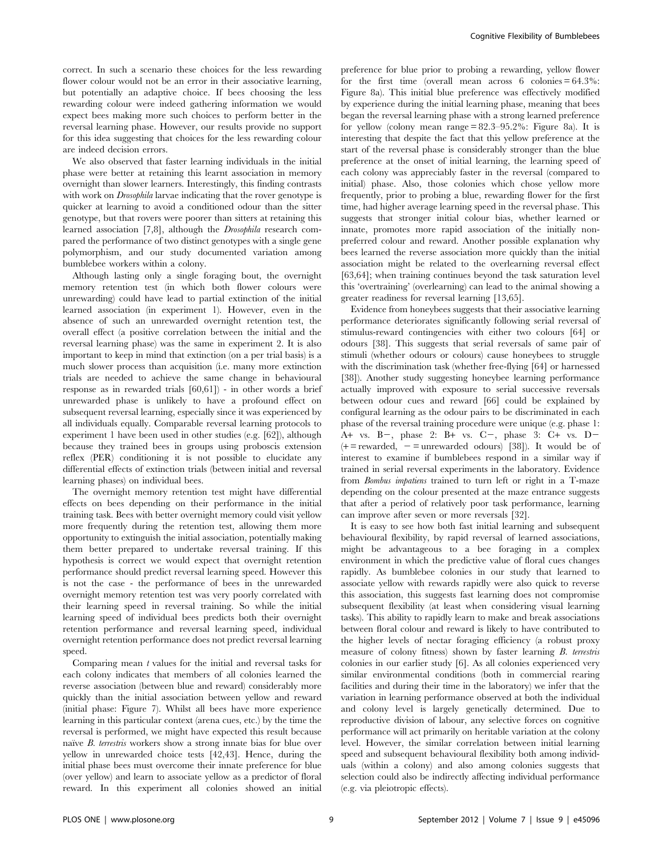correct. In such a scenario these choices for the less rewarding flower colour would not be an error in their associative learning, but potentially an adaptive choice. If bees choosing the less rewarding colour were indeed gathering information we would expect bees making more such choices to perform better in the reversal learning phase. However, our results provide no support for this idea suggesting that choices for the less rewarding colour are indeed decision errors.

We also observed that faster learning individuals in the initial phase were better at retaining this learnt association in memory overnight than slower learners. Interestingly, this finding contrasts with work on *Drosophila* larvae indicating that the rover genotype is quicker at learning to avoid a conditioned odour than the sitter genotype, but that rovers were poorer than sitters at retaining this learned association [7,8], although the Drosophila research compared the performance of two distinct genotypes with a single gene polymorphism, and our study documented variation among bumblebee workers within a colony.

Although lasting only a single foraging bout, the overnight memory retention test (in which both flower colours were unrewarding) could have lead to partial extinction of the initial learned association (in experiment 1). However, even in the absence of such an unrewarded overnight retention test, the overall effect (a positive correlation between the initial and the reversal learning phase) was the same in experiment 2. It is also important to keep in mind that extinction (on a per trial basis) is a much slower process than acquisition (i.e. many more extinction trials are needed to achieve the same change in behavioural response as in rewarded trials [60,61]) - in other words a brief unrewarded phase is unlikely to have a profound effect on subsequent reversal learning, especially since it was experienced by all individuals equally. Comparable reversal learning protocols to experiment 1 have been used in other studies (e.g. [62]), although because they trained bees in groups using proboscis extension reflex (PER) conditioning it is not possible to elucidate any differential effects of extinction trials (between initial and reversal learning phases) on individual bees.

The overnight memory retention test might have differential effects on bees depending on their performance in the initial training task. Bees with better overnight memory could visit yellow more frequently during the retention test, allowing them more opportunity to extinguish the initial association, potentially making them better prepared to undertake reversal training. If this hypothesis is correct we would expect that overnight retention performance should predict reversal learning speed. However this is not the case - the performance of bees in the unrewarded overnight memory retention test was very poorly correlated with their learning speed in reversal training. So while the initial learning speed of individual bees predicts both their overnight retention performance and reversal learning speed, individual overnight retention performance does not predict reversal learning speed.

Comparing mean t values for the initial and reversal tasks for each colony indicates that members of all colonies learned the reverse association (between blue and reward) considerably more quickly than the initial association between yellow and reward (initial phase: Figure 7). Whilst all bees have more experience learning in this particular context (arena cues, etc.) by the time the reversal is performed, we might have expected this result because naïve  $B$ . terrestris workers show a strong innate bias for blue over yellow in unrewarded choice tests [42,43]. Hence, during the initial phase bees must overcome their innate preference for blue (over yellow) and learn to associate yellow as a predictor of floral reward. In this experiment all colonies showed an initial preference for blue prior to probing a rewarding, yellow flower for the first time (overall mean across 6 colonies  $= 64.3\%$ : Figure 8a). This initial blue preference was effectively modified by experience during the initial learning phase, meaning that bees began the reversal learning phase with a strong learned preference for yellow (colony mean range  $= 82.3 - 95.2\%$ : Figure 8a). It is interesting that despite the fact that this yellow preference at the start of the reversal phase is considerably stronger than the blue preference at the onset of initial learning, the learning speed of each colony was appreciably faster in the reversal (compared to initial) phase. Also, those colonies which chose yellow more frequently, prior to probing a blue, rewarding flower for the first time, had higher average learning speed in the reversal phase. This suggests that stronger initial colour bias, whether learned or innate, promotes more rapid association of the initially nonpreferred colour and reward. Another possible explanation why bees learned the reverse association more quickly than the initial association might be related to the overlearning reversal effect [63,64]; when training continues beyond the task saturation level this 'overtraining' (overlearning) can lead to the animal showing a greater readiness for reversal learning [13,65].

Evidence from honeybees suggests that their associative learning performance deteriorates significantly following serial reversal of stimulus-reward contingencies with either two colours [64] or odours [38]. This suggests that serial reversals of same pair of stimuli (whether odours or colours) cause honeybees to struggle with the discrimination task (whether free-flying [64] or harnessed [38]). Another study suggesting honeybee learning performance actually improved with exposure to serial successive reversals between odour cues and reward [66] could be explained by configural learning as the odour pairs to be discriminated in each phase of the reversal training procedure were unique (e.g. phase 1: A+ vs. B-, phase 2: B+ vs. C-, phase 3: C+ vs. D- $(+=$  rewarded,  $=$  = unrewarded odours) [38]). It would be of interest to examine if bumblebees respond in a similar way if trained in serial reversal experiments in the laboratory. Evidence from Bombus impatiens trained to turn left or right in a T-maze depending on the colour presented at the maze entrance suggests that after a period of relatively poor task performance, learning can improve after seven or more reversals [32].

It is easy to see how both fast initial learning and subsequent behavioural flexibility, by rapid reversal of learned associations, might be advantageous to a bee foraging in a complex environment in which the predictive value of floral cues changes rapidly. As bumblebee colonies in our study that learned to associate yellow with rewards rapidly were also quick to reverse this association, this suggests fast learning does not compromise subsequent flexibility (at least when considering visual learning tasks). This ability to rapidly learn to make and break associations between floral colour and reward is likely to have contributed to the higher levels of nectar foraging efficiency (a robust proxy measure of colony fitness) shown by faster learning B. terrestris colonies in our earlier study [6]. As all colonies experienced very similar environmental conditions (both in commercial rearing facilities and during their time in the laboratory) we infer that the variation in learning performance observed at both the individual and colony level is largely genetically determined. Due to reproductive division of labour, any selective forces on cognitive performance will act primarily on heritable variation at the colony level. However, the similar correlation between initial learning speed and subsequent behavioural flexibility both among individuals (within a colony) and also among colonies suggests that selection could also be indirectly affecting individual performance (e.g. via pleiotropic effects).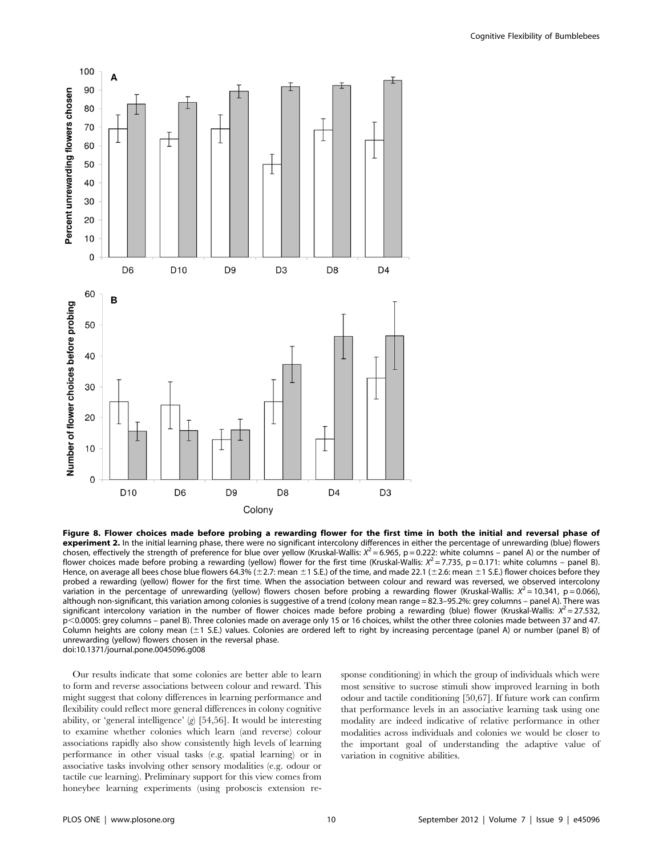

Figure 8. Flower choices made before probing a rewarding flower for the first time in both the initial and reversal phase of experiment 2. In the initial learning phase, there were no significant intercolony differences in either the percentage of unrewarding (blue) flowers chosen, effectively the strength of preference for blue over yellow (Kruskal-Wallis:  $X^2 = 6.965$ , p = 0.222: white columns – panel A) or the number of flower choices made before probing a rewarding (yellow) flower for the first time (Kruskal-Wallis:  $X^2 = 7.735$ , p = 0.171: white columns – panel B). Hence, on average all bees chose blue flowers 64.3% ( $\pm$ 2.7: mean  $\pm$ 1 S.E.) of the time, and made 22.1 ( $\pm$ 2.6: mean  $\pm$ 1 S.E.) flower choices before they probed a rewarding (yellow) flower for the first time. When the association between colour and reward was reversed, we observed intercolony variation in the percentage of unrewarding (yellow) flowers chosen before probing a rewarding flower (Kruskal-Wallis:  $X^2 = 10.341$ , p = 0.066), although non-significant, this variation among colonies is suggestive of a trend (colony mean range = 82.3–95.2%: grey columns – panel A). There was significant intercolony variation in the number of flower choices made before probing a rewarding (blue) flower (Kruskal-Wallis:  $X^2 = 27.532$ , p<0.0005: grey columns - panel B). Three colonies made on average only 15 or 16 choices, whilst the other three colonies made between 37 and 47. Column heights are colony mean  $(\pm 1$  S.E.) values. Colonies are ordered left to right by increasing percentage (panel A) or number (panel B) of unrewarding (yellow) flowers chosen in the reversal phase. doi:10.1371/journal.pone.0045096.g008

Our results indicate that some colonies are better able to learn to form and reverse associations between colour and reward. This might suggest that colony differences in learning performance and flexibility could reflect more general differences in colony cognitive ability, or 'general intelligence'  $(g)$  [54,56]. It would be interesting to examine whether colonies which learn (and reverse) colour associations rapidly also show consistently high levels of learning performance in other visual tasks (e.g. spatial learning) or in associative tasks involving other sensory modalities (e.g. odour or tactile cue learning). Preliminary support for this view comes from honeybee learning experiments (using proboscis extension re-

sponse conditioning) in which the group of individuals which were most sensitive to sucrose stimuli show improved learning in both odour and tactile conditioning [50,67]. If future work can confirm that performance levels in an associative learning task using one modality are indeed indicative of relative performance in other modalities across individuals and colonies we would be closer to the important goal of understanding the adaptive value of variation in cognitive abilities.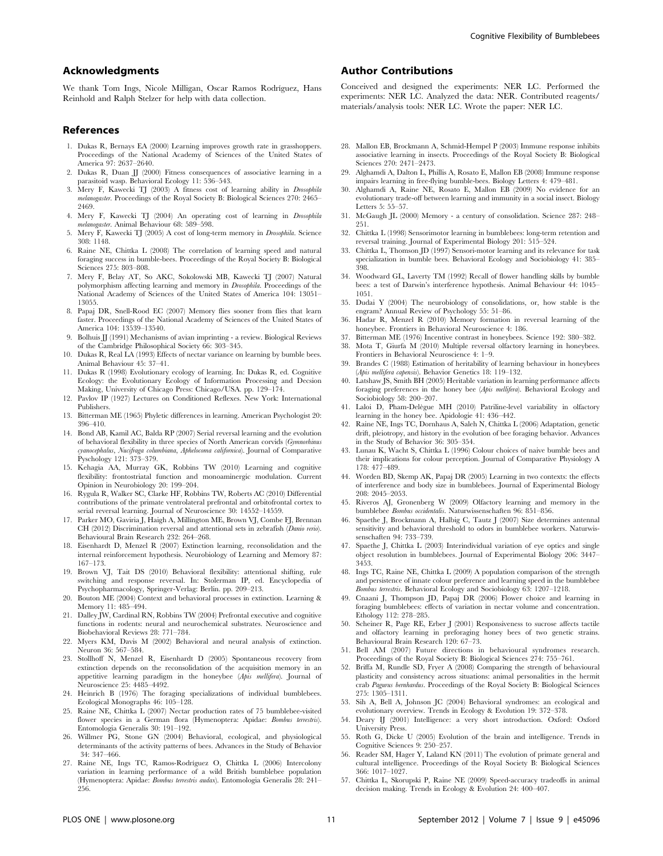#### Acknowledgments

We thank Tom Ings, Nicole Milligan, Oscar Ramos Rodríguez, Hans Reinhold and Ralph Stelzer for help with data collection.

#### References

- 1. Dukas R, Bernays EA (2000) Learning improves growth rate in grasshoppers. Proceedings of the National Academy of Sciences of the United States of America 97: 2637–2640.
- 2. Dukas R, Duan JJ (2000) Fitness consequences of associative learning in a parasitoid wasp. Behavioral Ecology 11: 536–543.
- 3. Mery F, Kawecki TJ (2003) A fitness cost of learning ability in Drosophila melanogaster. Proceedings of the Royal Society B: Biological Sciences 270: 2465– 2469.
- 4. Mery F, Kawecki TJ (2004) An operating cost of learning in Drosophila melanogaster. Animal Behaviour 68: 589–598.
- 5. Mery F, Kawecki TJ (2005) A cost of long-term memory in Drosophila. Science 308: 1148.
- Raine NE, Chittka L (2008) The correlation of learning speed and natural foraging success in bumble-bees. Proceedings of the Royal Society B: Biological Sciences 275: 803–808.
- 7. Mery F, Belay AT, So AKC, Sokolowski MB, Kawecki TJ (2007) Natural polymorphism affecting learning and memory in Drosophila. Proceedings of the National Academy of Sciences of the United States of America 104: 13051-13055.
- 8. Papaj DR, Snell-Rood EC (2007) Memory flies sooner from flies that learn faster. Proceedings of the National Academy of Sciences of the United States of America 104: 13539–13540.
- 9. Bolhuis JJ (1991) Mechanisms of avian imprinting a review. Biological Reviews of the Cambridge Philosophical Society 66: 303–345.
- 10. Dukas R, Real LA (1993) Effects of nectar variance on learning by bumble bees. Animal Behaviour 45: 37–41.
- 11. Dukas R (1998) Evolutionary ecology of learning. In: Dukas R, ed. Cognitive Ecology: the Evolutionary Ecology of Information Processing and Decsion Making, University of Chicago Press: Chicago/USA. pp. 129–174.
- 12. Pavlov IP (1927) Lectures on Conditioned Reflexes. New York: International Publishers.
- 13. Bitterman ME (1965) Phyletic differences in learning. American Psychologist 20: 396–410.
- 14. Bond AB, Kamil AC, Balda RP (2007) Serial reversal learning and the evolution of behavioral flexibility in three species of North American corvids (Gymnorhinus cyanocephalus, Nucifraga columbiana, Aphelocoma californica). Journal of Comparative Pyschology 121: 373–379.
- 15. Kehagia AA, Murray GK, Robbins TW (2010) Learning and cognitive flexibility: frontostriatal function and monoaminergic modulation. Current Opinion in Neurobiology 20: 199–204.
- 16. Rygula R, Walker SC, Clarke HF, Robbins TW, Roberts AC (2010) Differential contributions of the primate ventrolateral prefrontal and orbitofrontal cortex to serial reversal learning. Journal of Neuroscience 30: 14552–14559.
- 17. Parker MO, Gaviria J, Haigh A, Millington ME, Brown VJ, Combe FJ, Brennan CH (2012) Discrimination reversal and attentional sets in zebrafish (Danio rerio). Behavioural Brain Research 232: 264–268.
- 18. Eisenhardt D, Menzel R (2007) Extinction learning, reconsolidation and the internal reinforcement hypothesis. Neurobiology of Learning and Memory 87: 167–173.
- 19. Brown VJ, Tait DS (2010) Behavioral flexibility: attentional shifting, rule switching and response reversal. In: Stolerman IP, ed. Encyclopedia of Psychopharmacology, Springer-Verlag: Berlin. pp. 209–213.
- 20. Bouton ME (2004) Context and behavioral processes in extinction. Learning & Memory 11: 485–494.
- 21. Dalley JW, Cardinal RN, Robbins TW (2004) Prefrontal executive and cognitive functions in rodents: neural and neurochemical substrates. Neuroscience and Biobehavioral Reviews 28: 771–784.
- 22. Myers KM, Davis M (2002) Behavioral and neural analysis of extinction. Neuron 36: 567–584.
- 23. Stollhoff N, Menzel R, Eisenhardt D (2005) Spontaneous recovery from extinction depends on the reconsolidation of the acquisition memory in an appetitive learning paradigm in the honeybee (Apis mellifera). Journal of Neuroscience 25: 4485–4492.
- 24. Heinrich B (1976) The foraging specializations of individual bumblebees. Ecological Monographs 46: 105–128.
- 25. Raine NE, Chittka L (2007) Nectar production rates of 75 bumblebee-visited flower species in a German flora (Hymenoptera: Apidae: Bombus terrestris). Entomologia Generalis 30: 191–192.
- 26. Willmer PG, Stone GN (2004) Behavioral, ecological, and physiological determinants of the activity patterns of bees. Advances in the Study of Behavior 34: 347–466.
- 27. Raine NE, Ings TC, Ramos-Rodríguez O, Chittka L (2006) Intercolony variation in learning performance of a wild British bumblebee population (Hymenoptera: Apidae: Bombus terrestris audax). Entomologia Generalis 28: 241– 256.

#### Author Contributions

Conceived and designed the experiments: NER LC. Performed the experiments: NER LC. Analyzed the data: NER. Contributed reagents/ materials/analysis tools: NER LC. Wrote the paper: NER LC.

- 28. Mallon EB, Brockmann A, Schmid-Hempel P (2003) Immune response inhibits associative learning in insects. Proceedings of the Royal Society B: Biological Sciences 270: 2471–2473.
- 29. Alghamdi A, Dalton L, Phillis A, Rosato E, Mallon EB (2008) Immune response impairs learning in free-flying bumble-bees. Biology Letters 4: 479–481.
- 30. Alghamdi A, Raine NE, Rosato E, Mallon EB (2009) No evidence for an evolutionary trade-off between learning and immunity in a social insect. Biology Letters 5: 55–57.
- 31. McGaugh JL (2000) Memory a century of consolidation. Science 287: 248– 251.
- 32. Chittka L (1998) Sensorimotor learning in bumblebees: long-term retention and reversal training. Journal of Experimental Biology 201: 515–524.
- 33. Chittka L, Thomson JD (1997) Sensori-motor learning and its relevance for task specialization in bumble bees. Behavioral Ecology and Sociobiology 41: 385– 398.
- 34. Woodward GL, Laverty TM (1992) Recall of flower handling skills by bumble bees: a test of Darwin's interference hypothesis. Animal Behaviour 44: 1045– 1051.
- 35. Dudai Y (2004) The neurobiology of consolidations, or, how stable is the engram? Annual Review of Psychology 55: 51–86.
- 36. Hadar R, Menzel R (2010) Memory formation in reversal learning of the honeybee. Frontiers in Behavioral Neuroscience 4: 186.
- 37. Bitterman ME (1976) Incentive contrast in honeybees. Science 192: 380–382.
- 38. Mota T, Giurfa M (2010) Multiple reversal olfactory learning in honeybees. Frontiers in Behavioral Neuroscience 4: 1–9.
- 39. Brandes C (1988) Estimation of heritability of learning behaviour in honeybees (Apis mellifera capensis). Behavior Genetics 18: 119–132.
- 40. Latshaw JS, Smith BH (2005) Heritable variation in learning performance affects foraging preferences in the honey bee (Apis mellifera). Behavioral Ecology and Sociobiology 58: 200–207.
- 41. Laloi D, Pham-Delègue MH (2010) Patriline-level variability in olfactory learning in the honey bee. Apidologie 41: 436–442.
- 42. Raine NE, Ings TC, Dornhaus A, Saleh N, Chittka L (2006) Adaptation, genetic drift, pleiotropy, and history in the evolution of bee foraging behavior. Advances in the Study of Behavior 36: 305–354.
- 43. Lunau K, Wacht S, Chittka L (1996) Colour choices of naive bumble bees and their implications for colour perception. Journal of Comparative Physiology A 178: 477–489.
- 44. Worden BD, Skemp AK, Papaj DR (2005) Learning in two contexts: the effects of interference and body size in bumblebees. Journal of Experimental Biology 208: 2045–2053.
- 45. Riveros AJ, Gronenberg W (2009) Olfactory learning and memory in the bumblebee Bombus occidentalis. Naturwissenschaften 96: 851–856.
- 46. Spaethe J, Brockmann A, Halbig C, Tautz J (2007) Size determines antennal sensitivity and behavioral threshold to odors in bumblebee workers. Naturwissenschaften 94: 733–739.
- 47. Spaethe J, Chittka L (2003) Interindividual variation of eye optics and single object resolution in bumblebees. Journal of Experimental Biology 206: 3447– 3453.
- 48. Ings TC, Raine NE, Chittka L (2009) A population comparison of the strength and persistence of innate colour preference and learning speed in the bumblebee Bombus terrestris. Behavioral Ecology and Sociobiology 63: 1207–1218.
- 49. Cnaani J, Thompson JD, Papaj DR (2006) Flower choice and learning in foraging bumblebees: effects of variation in nectar volume and concentration. Ethology 112: 278–285.
- 50. Scheiner R, Page RE, Erber J (2001) Responsiveness to sucrose affects tactile and olfactory learning in preforaging honey bees of two genetic strains. Behavioural Brain Research 120: 67–73.
- 51. Bell AM (2007) Future directions in behavioural syndromes research. Proceedings of the Royal Society B: Biological Sciences 274: 755–761.
- 52. Briffa M, Rundle SD, Fryer A (2008) Comparing the strength of behavioural plasticity and consistency across situations: animal personalities in the hermit crab Pagurus bernhardus. Proceedings of the Royal Society B: Biological Sciences 275: 1305–1311.
- 53. Sih A, Bell A, Johnson JC (2004) Behavioral syndromes: an ecological and evolutionary overview. Trends in Ecology & Evolution 19: 372–378.
- 54. Deary IJ (2001) Intelligence: a very short introduction. Oxford: Oxford University Press.
- 55. Roth G, Dicke U (2005) Evolution of the brain and intelligence. Trends in Cognitive Sciences 9: 250–257.
- 56. Reader SM, Hager Y, Laland KN (2011) The evolution of primate general and cultural intelligence. Proceedings of the Royal Society B: Biological Sciences 366: 1017–1027.
- 57. Chittka L, Skorupski P, Raine NE (2009) Speed-accuracy tradeoffs in animal decision making. Trends in Ecology & Evolution 24: 400–407.